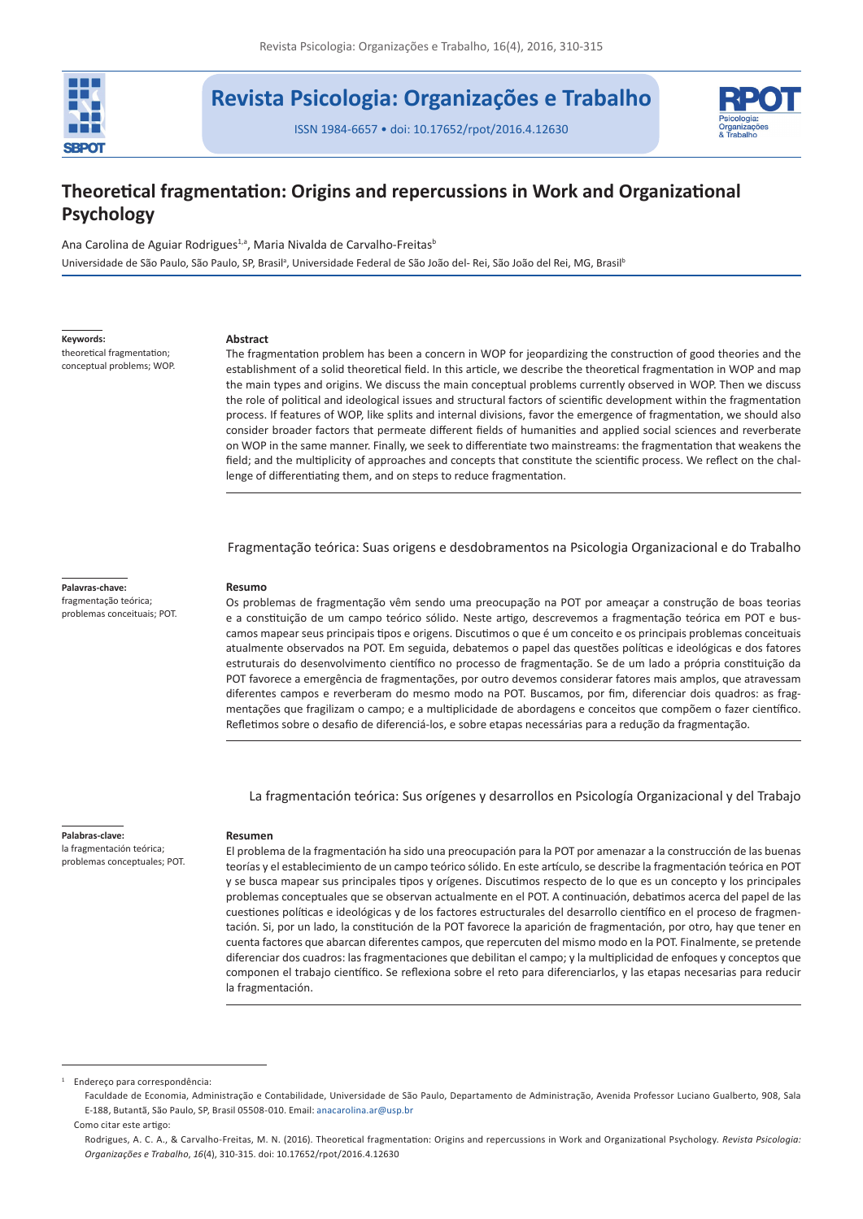

# **Revista Psicologia: Organizações e Trabalho**

ISSN 1984-6657 • doi: 10.17652/rpot/2016.4.12630



# **Theoretical fragmentation: Origins and repercussions in Work and Organizational Psychology**

Ana Carolina de Aguiar Rodrigues<sup>1,a</sup>, Maria Nivalda de Carvalho-Freitas<sup>b</sup> Universidade de São Paulo, São Paulo, SP, Brasil<sup>a</sup>, Universidade Federal de São João del- Rei, São João del Rei, MG, Brasil<sup>t</sup>

**Keywords:**

theoretical fragmentation; conceptual problems; WOP.

#### **Abstract**

The fragmentation problem has been a concern in WOP for jeopardizing the construction of good theories and the establishment of a solid theoretical field. In this article, we describe the theoretical fragmentation in WOP and map the main types and origins. We discuss the main conceptual problems currently observed in WOP. Then we discuss the role of political and ideological issues and structural factors of scientific development within the fragmentation process. If features of WOP, like splits and internal divisions, favor the emergence of fragmentation, we should also consider broader factors that permeate different fields of humanities and applied social sciences and reverberate on WOP in the same manner. Finally, we seek to differentiate two mainstreams: the fragmentation that weakens the field; and the multiplicity of approaches and concepts that constitute the scientific process. We reflect on the challenge of differentiating them, and on steps to reduce fragmentation.

Fragmentação teórica: Suas origens e desdobramentos na Psicologia Organizacional e do Trabalho

#### **Palavras-chave:**

fragmentação teórica; problemas conceituais; POT. **Resumo**

Os problemas de fragmentação vêm sendo uma preocupação na POT por ameaçar a construção de boas teorias e a constituição de um campo teórico sólido. Neste artigo, descrevemos a fragmentação teórica em POT e buscamos mapear seus principais tipos e origens. Discutimos o que é um conceito e os principais problemas conceituais atualmente observados na POT. Em seguida, debatemos o papel das questões políticas e ideológicas e dos fatores estruturais do desenvolvimento científico no processo de fragmentação. Se de um lado a própria constituição da POT favorece a emergência de fragmentações, por outro devemos considerar fatores mais amplos, que atravessam diferentes campos e reverberam do mesmo modo na POT. Buscamos, por fim, diferenciar dois quadros: as fragmentações que fragilizam o campo; e a multiplicidade de abordagens e conceitos que compõem o fazer científico. Refletimos sobre o desafio de diferenciá-los, e sobre etapas necessárias para a redução da fragmentação.

La fragmentación teórica: Sus orígenes y desarrollos en Psicología Organizacional y del Trabajo

# **Palabras-clave:**

la fragmentación teórica; problemas conceptuales; POT.

#### **Resumen**

El problema de la fragmentación ha sido una preocupación para la POT por amenazar a la construcción de las buenas teorías y el establecimiento de un campo teórico sólido. En este artículo, se describe la fragmentación teórica en POT y se busca mapear sus principales tipos y orígenes. Discutimos respecto de lo que es un concepto y los principales problemas conceptuales que se observan actualmente en el POT. A continuación, debatimos acerca del papel de las cuestiones políticas e ideológicas y de los factores estructurales del desarrollo científico en el proceso de fragmentación. Si, por un lado, la constitución de la POT favorece la aparición de fragmentación, por otro, hay que tener en cuenta factores que abarcan diferentes campos, que repercuten del mismo modo en la POT. Finalmente, se pretende diferenciar dos cuadros: las fragmentaciones que debilitan el campo; y la multiplicidad de enfoques y conceptos que componen el trabajo científico. Se reflexiona sobre el reto para diferenciarlos, y las etapas necesarias para reducir la fragmentación.

<sup>1</sup> Endereço para correspondência:

Faculdade de Economia, Administração e Contabilidade, Universidade de São Paulo, Departamento de Administração, Avenida Professor Luciano Gualberto, 908, Sala E-188, Butantã, São Paulo, SP, Brasil 05508-010. Email: [anacarolina.ar@usp.br](mailto:anacarolina.ar@usp.br)

Como citar este artigo:

Rodrigues, A. C. A., & Carvalho-Freitas, M. N. (2016). Theoretical fragmentation: Origins and repercussions in Work and Organizational Psychology. *Revista Psicologia: Organizações e Trabalho*, *16*(4), 310-315. doi: 10.17652/rpot/2016.4.12630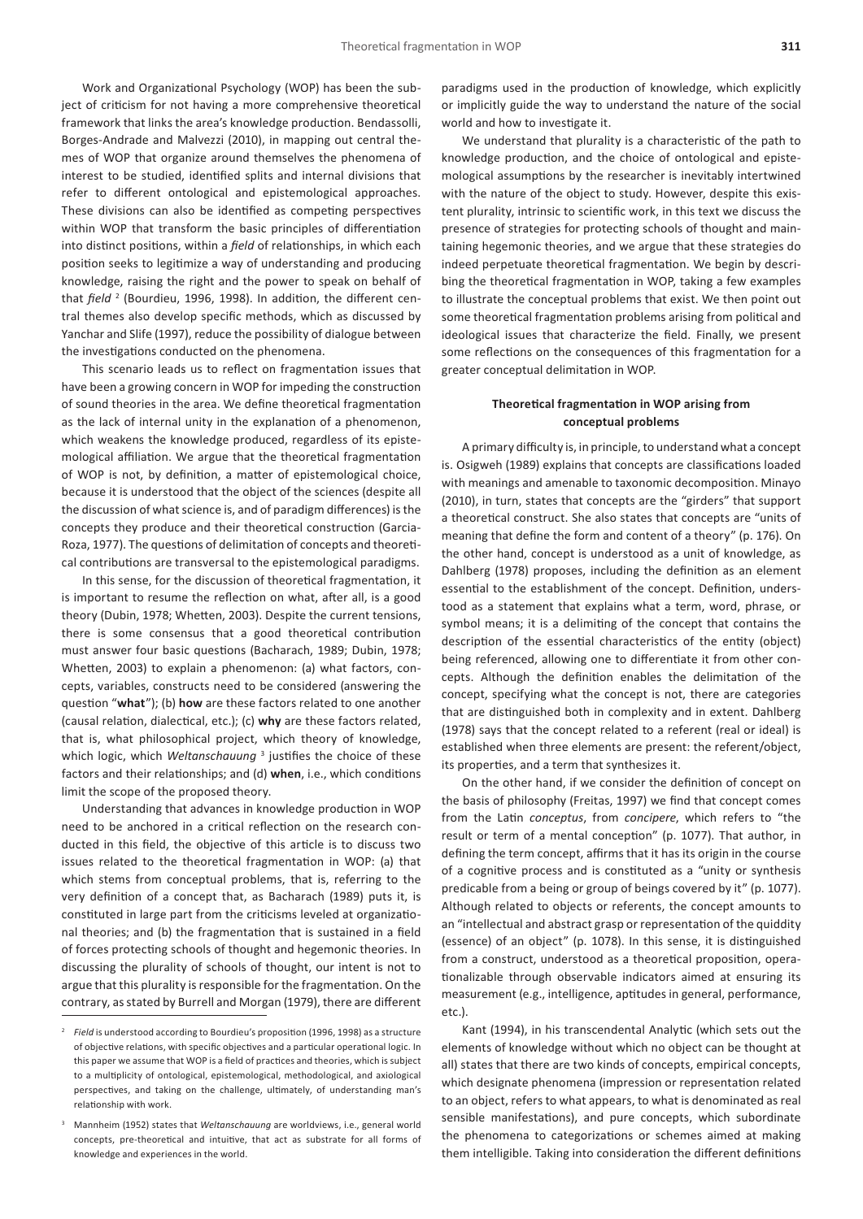Work and Organizational Psychology (WOP) has been the subject of criticism for not having a more comprehensive theoretical framework that links the area's knowledge production. Bendassolli, Borges-Andrade and Malvezzi (2010), in mapping out central themes of WOP that organize around themselves the phenomena of interest to be studied, identified splits and internal divisions that refer to different ontological and epistemological approaches. These divisions can also be identified as competing perspectives within WOP that transform the basic principles of differentiation into distinct positions, within a *field* of relationships, in which each position seeks to legitimize a way of understanding and producing knowledge, raising the right and the power to speak on behalf of that *field* <sup>2</sup> (Bourdieu, 1996, 1998). In addition, the different central themes also develop specific methods, which as discussed by Yanchar and Slife (1997), reduce the possibility of dialogue between the investigations conducted on the phenomena.

This scenario leads us to reflect on fragmentation issues that have been a growing concern in WOP for impeding the construction of sound theories in the area. We define theoretical fragmentation as the lack of internal unity in the explanation of a phenomenon, which weakens the knowledge produced, regardless of its epistemological affiliation. We argue that the theoretical fragmentation of WOP is not, by definition, a matter of epistemological choice, because it is understood that the object of the sciences (despite all the discussion of what science is, and of paradigm differences) is the concepts they produce and their theoretical construction (Garcia-Roza, 1977). The questions of delimitation of concepts and theoretical contributions are transversal to the epistemological paradigms.

In this sense, for the discussion of theoretical fragmentation, it is important to resume the reflection on what, after all, is a good theory (Dubin, 1978; Whetten, 2003). Despite the current tensions, there is some consensus that a good theoretical contribution must answer four basic questions (Bacharach, 1989; Dubin, 1978; Whetten, 2003) to explain a phenomenon: (a) what factors, concepts, variables, constructs need to be considered (answering the question "**what**"); (b) **how** are these factors related to one another (causal relation, dialectical, etc.); (c) **why** are these factors related, that is, what philosophical project, which theory of knowledge, which logic, which *Weltanschauung*<sup>3</sup> justifies the choice of these factors and their relationships; and (d) **when**, i.e., which conditions limit the scope of the proposed theory.

Understanding that advances in knowledge production in WOP need to be anchored in a critical reflection on the research conducted in this field, the objective of this article is to discuss two issues related to the theoretical fragmentation in WOP: (a) that which stems from conceptual problems, that is, referring to the very definition of a concept that, as Bacharach (1989) puts it, is constituted in large part from the criticisms leveled at organizational theories; and (b) the fragmentation that is sustained in a field of forces protecting schools of thought and hegemonic theories. In discussing the plurality of schools of thought, our intent is not to argue that this plurality is responsible for the fragmentation. On the contrary, as stated by Burrell and Morgan (1979), there are different

paradigms used in the production of knowledge, which explicitly or implicitly guide the way to understand the nature of the social world and how to investigate it.

We understand that plurality is a characteristic of the path to knowledge production, and the choice of ontological and epistemological assumptions by the researcher is inevitably intertwined with the nature of the object to study. However, despite this existent plurality, intrinsic to scientific work, in this text we discuss the presence of strategies for protecting schools of thought and maintaining hegemonic theories, and we argue that these strategies do indeed perpetuate theoretical fragmentation. We begin by describing the theoretical fragmentation in WOP, taking a few examples to illustrate the conceptual problems that exist. We then point out some theoretical fragmentation problems arising from political and ideological issues that characterize the field. Finally, we present some reflections on the consequences of this fragmentation for a greater conceptual delimitation in WOP.

## **Theoretical fragmentation in WOP arising from conceptual problems**

A primary difficulty is, in principle, to understand what a concept is. Osigweh (1989) explains that concepts are classifications loaded with meanings and amenable to taxonomic decomposition. Minayo (2010), in turn, states that concepts are the "girders" that support a theoretical construct. She also states that concepts are "units of meaning that define the form and content of a theory" (p. 176). On the other hand, concept is understood as a unit of knowledge, as Dahlberg (1978) proposes, including the definition as an element essential to the establishment of the concept. Definition, understood as a statement that explains what a term, word, phrase, or symbol means; it is a delimiting of the concept that contains the description of the essential characteristics of the entity (object) being referenced, allowing one to differentiate it from other concepts. Although the definition enables the delimitation of the concept, specifying what the concept is not, there are categories that are distinguished both in complexity and in extent. Dahlberg (1978) says that the concept related to a referent (real or ideal) is established when three elements are present: the referent/object, its properties, and a term that synthesizes it.

On the other hand, if we consider the definition of concept on the basis of philosophy (Freitas, 1997) we find that concept comes from the Latin *conceptus*, from *concipere*, which refers to "the result or term of a mental conception" (p. 1077). That author, in defining the term concept, affirms that it has its origin in the course of a cognitive process and is constituted as a "unity or synthesis predicable from a being or group of beings covered by it" (p. 1077). Although related to objects or referents, the concept amounts to an "intellectual and abstract grasp or representation of the quiddity (essence) of an object" (p. 1078). In this sense, it is distinguished from a construct, understood as a theoretical proposition, operationalizable through observable indicators aimed at ensuring its measurement (e.g., intelligence, aptitudes in general, performance, etc.).

Kant (1994), in his transcendental Analytic (which sets out the elements of knowledge without which no object can be thought at all) states that there are two kinds of concepts, empirical concepts, which designate phenomena (impression or representation related to an object, refers to what appears, to what is denominated as real sensible manifestations), and pure concepts, which subordinate the phenomena to categorizations or schemes aimed at making them intelligible. Taking into consideration the different definitions

<sup>2</sup> *Field* is understood according to Bourdieu's proposition (1996, 1998) as a structure of objective relations, with specific objectives and a particular operational logic. In this paper we assume that WOP is a field of practices and theories, which is subject to a multiplicity of ontological, epistemological, methodological, and axiological perspectives, and taking on the challenge, ultimately, of understanding man's relationship with work.

<sup>3</sup> Mannheim (1952) states that *Weltanschauung* are worldviews, i.e., general world concepts, pre-theoretical and intuitive, that act as substrate for all forms of knowledge and experiences in the world.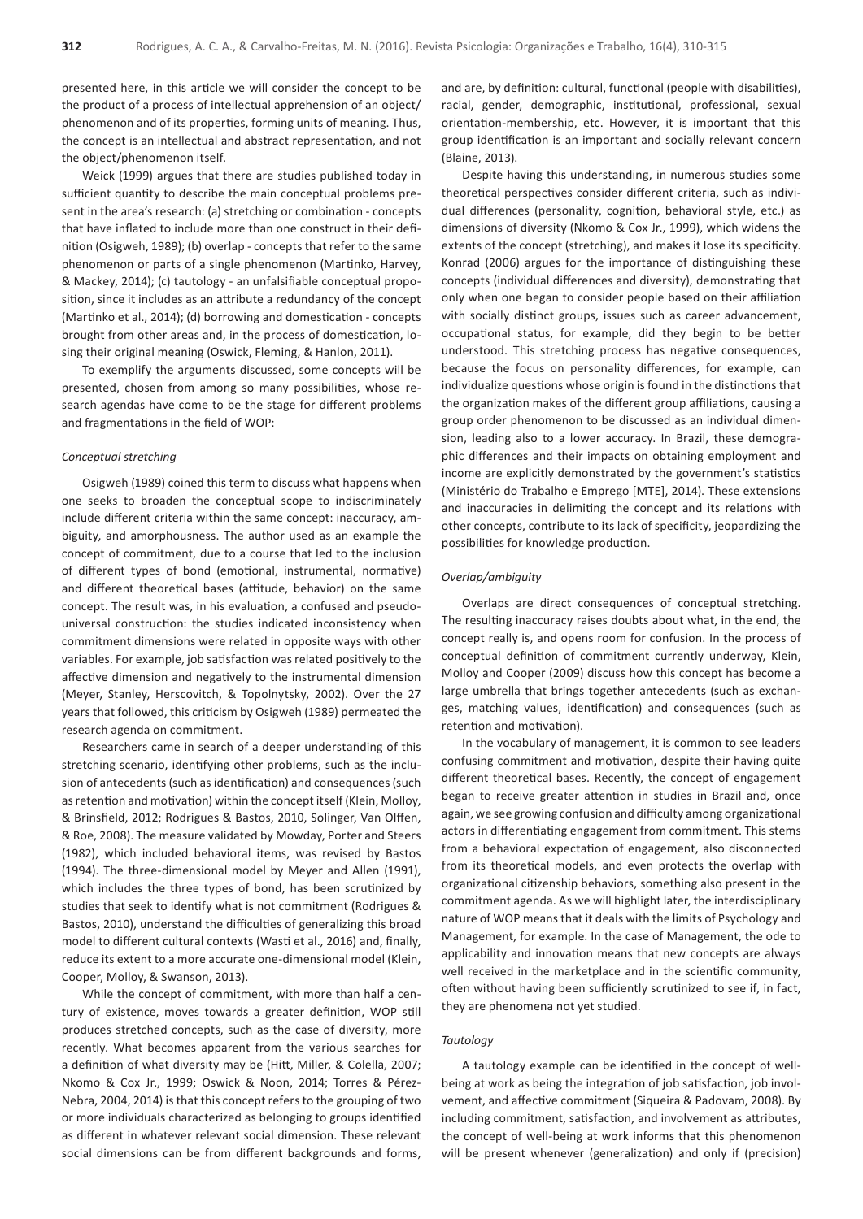presented here, in this article we will consider the concept to be the product of a process of intellectual apprehension of an object/ phenomenon and of its properties, forming units of meaning. Thus, the concept is an intellectual and abstract representation, and not the object/phenomenon itself.

Weick (1999) argues that there are studies published today in sufficient quantity to describe the main conceptual problems present in the area's research: (a) stretching or combination - concepts that have inflated to include more than one construct in their definition (Osigweh, 1989); (b) overlap - concepts that refer to the same phenomenon or parts of a single phenomenon (Martinko, Harvey, & Mackey, 2014); (c) tautology - an unfalsifiable conceptual proposition, since it includes as an attribute a redundancy of the concept (Martinko et al., 2014); (d) borrowing and domestication - concepts brought from other areas and, in the process of domestication, losing their original meaning (Oswick, Fleming, & Hanlon, 2011).

To exemplify the arguments discussed, some concepts will be presented, chosen from among so many possibilities, whose research agendas have come to be the stage for different problems and fragmentations in the field of WOP:

### *Conceptual stretching*

Osigweh (1989) coined this term to discuss what happens when one seeks to broaden the conceptual scope to indiscriminately include different criteria within the same concept: inaccuracy, ambiguity, and amorphousness. The author used as an example the concept of commitment, due to a course that led to the inclusion of different types of bond (emotional, instrumental, normative) and different theoretical bases (attitude, behavior) on the same concept. The result was, in his evaluation, a confused and pseudouniversal construction: the studies indicated inconsistency when commitment dimensions were related in opposite ways with other variables. For example, job satisfaction was related positively to the affective dimension and negatively to the instrumental dimension (Meyer, Stanley, Herscovitch, & Topolnytsky, 2002). Over the 27 years that followed, this criticism by Osigweh (1989) permeated the research agenda on commitment.

Researchers came in search of a deeper understanding of this stretching scenario, identifying other problems, such as the inclusion of antecedents (such as identification) and consequences (such as retention and motivation) within the concept itself (Klein, Molloy, & Brinsfield, 2012; Rodrigues & Bastos, 2010, Solinger, Van Olffen, & Roe, 2008). The measure validated by Mowday, Porter and Steers (1982), which included behavioral items, was revised by Bastos (1994). The three-dimensional model by Meyer and Allen (1991), which includes the three types of bond, has been scrutinized by studies that seek to identify what is not commitment (Rodrigues & Bastos, 2010), understand the difficulties of generalizing this broad model to different cultural contexts (Wasti et al., 2016) and, finally, reduce its extent to a more accurate one-dimensional model (Klein, Cooper, Molloy, & Swanson, 2013).

While the concept of commitment, with more than half a century of existence, moves towards a greater definition, WOP still produces stretched concepts, such as the case of diversity, more recently. What becomes apparent from the various searches for a definition of what diversity may be (Hitt, Miller, & Colella, 2007; Nkomo & Cox Jr., 1999; Oswick & Noon, 2014; Torres & Pérez-Nebra, 2004, 2014) is that this concept refers to the grouping of two or more individuals characterized as belonging to groups identified as different in whatever relevant social dimension. These relevant social dimensions can be from different backgrounds and forms,

and are, by definition: cultural, functional (people with disabilities), racial, gender, demographic, institutional, professional, sexual orientation-membership, etc. However, it is important that this group identification is an important and socially relevant concern (Blaine, 2013).

Despite having this understanding, in numerous studies some theoretical perspectives consider different criteria, such as individual differences (personality, cognition, behavioral style, etc.) as dimensions of diversity (Nkomo & Cox Jr., 1999), which widens the extents of the concept (stretching), and makes it lose its specificity. Konrad (2006) argues for the importance of distinguishing these concepts (individual differences and diversity), demonstrating that only when one began to consider people based on their affiliation with socially distinct groups, issues such as career advancement, occupational status, for example, did they begin to be better understood. This stretching process has negative consequences, because the focus on personality differences, for example, can individualize questions whose origin is found in the distinctions that the organization makes of the different group affiliations, causing a group order phenomenon to be discussed as an individual dimension, leading also to a lower accuracy. In Brazil, these demographic differences and their impacts on obtaining employment and income are explicitly demonstrated by the government's statistics (Ministério do Trabalho e Emprego [MTE], 2014). These extensions and inaccuracies in delimiting the concept and its relations with other concepts, contribute to its lack of specificity, jeopardizing the possibilities for knowledge production.

## *Overlap/ambiguity*

Overlaps are direct consequences of conceptual stretching. The resulting inaccuracy raises doubts about what, in the end, the concept really is, and opens room for confusion. In the process of conceptual definition of commitment currently underway, Klein, Molloy and Cooper (2009) discuss how this concept has become a large umbrella that brings together antecedents (such as exchanges, matching values, identification) and consequences (such as retention and motivation).

In the vocabulary of management, it is common to see leaders confusing commitment and motivation, despite their having quite different theoretical bases. Recently, the concept of engagement began to receive greater attention in studies in Brazil and, once again, we see growing confusion and difficulty among organizational actors in differentiating engagement from commitment. This stems from a behavioral expectation of engagement, also disconnected from its theoretical models, and even protects the overlap with organizational citizenship behaviors, something also present in the commitment agenda. As we will highlight later, the interdisciplinary nature of WOP means that it deals with the limits of Psychology and Management, for example. In the case of Management, the ode to applicability and innovation means that new concepts are always well received in the marketplace and in the scientific community, often without having been sufficiently scrutinized to see if, in fact, they are phenomena not yet studied.

#### *Tautology*

A tautology example can be identified in the concept of wellbeing at work as being the integration of job satisfaction, job involvement, and affective commitment (Siqueira & Padovam, 2008). By including commitment, satisfaction, and involvement as attributes, the concept of well-being at work informs that this phenomenon will be present whenever (generalization) and only if (precision)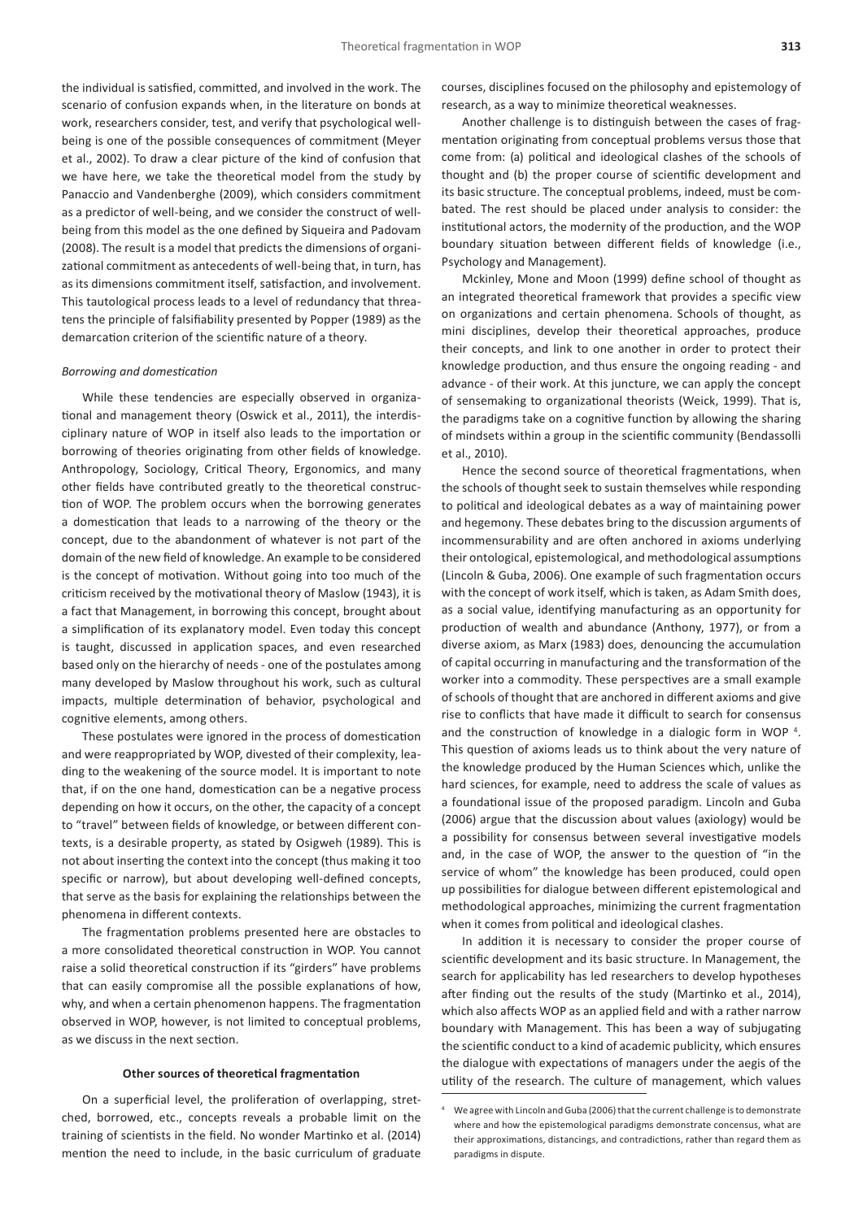the individual is satisfied, committed, and involved in the work. The scenario of confusion expands when, in the literature on bonds at work, researchers consider, test, and verify that psychological wellbeing is one of the possible consequences of commitment (Meyer et al., 2002). To draw a clear picture of the kind of confusion that we have here, we take the theoretical model from the study by Panaccio and Vandenberghe (2009), which considers commitment as a predictor of well-being, and we consider the construct of wellbeing from this model as the one defined by Siqueira and Padovam (2008). The result is a model that predicts the dimensions of organizational commitment as antecedents of well-being that, in turn, has as its dimensions commitment itself, satisfaction, and involvement. This tautological process leads to a level of redundancy that threatens the principle of falsifiability presented by Popper (1989) as the demarcation criterion of the scientific nature of a theory.

### *Borrowing and domestication*

While these tendencies are especially observed in organizational and management theory (Oswick et al., 2011), the interdisciplinary nature of WOP in itself also leads to the importation or borrowing of theories originating from other fields of knowledge. Anthropology, Sociology, Critical Theory, Ergonomics, and many other fields have contributed greatly to the theoretical construction of WOP. The problem occurs when the borrowing generates a domestication that leads to a narrowing of the theory or the concept, due to the abandonment of whatever is not part of the domain of the new field of knowledge. An example to be considered is the concept of motivation. Without going into too much of the criticism received by the motivational theory of Maslow (1943), it is a fact that Management, in borrowing this concept, brought about a simplification of its explanatory model. Even today this concept is taught, discussed in application spaces, and even researched based only on the hierarchy of needs - one of the postulates among many developed by Maslow throughout his work, such as cultural impacts, multiple determination of behavior, psychological and cognitive elements, among others.

These postulates were ignored in the process of domestication and were reappropriated by WOP, divested of their complexity, leading to the weakening of the source model. It is important to note that, if on the one hand, domestication can be a negative process depending on how it occurs, on the other, the capacity of a concept to "travel" between fields of knowledge, or between different contexts, is a desirable property, as stated by Osigweh (1989). This is not about inserting the context into the concept (thus making it too specific or narrow), but about developing well-defined concepts, that serve as the basis for explaining the relationships between the phenomena in different contexts.

The fragmentation problems presented here are obstacles to a more consolidated theoretical construction in WOP. You cannot raise a solid theoretical construction if its "girders" have problems that can easily compromise all the possible explanations of how, why, and when a certain phenomenon happens. The fragmentation observed in WOP, however, is not limited to conceptual problems, as we discuss in the next section.

#### **Other sources of theoretical fragmentation**

On a superficial level, the proliferation of overlapping, stretched, borrowed, etc., concepts reveals a probable limit on the training of scientists in the field. No wonder Martinko et al. (2014) mention the need to include, in the basic curriculum of graduate courses, disciplines focused on the philosophy and epistemology of research, as a way to minimize theoretical weaknesses.

Another challenge is to distinguish between the cases of fragmentation originating from conceptual problems versus those that come from: (a) political and ideological clashes of the schools of thought and (b) the proper course of scientific development and its basic structure. The conceptual problems, indeed, must be combated. The rest should be placed under analysis to consider: the institutional actors, the modernity of the production, and the WOP boundary situation between different fields of knowledge (i.e., Psychology and Management).

Mckinley, Mone and Moon (1999) define school of thought as an integrated theoretical framework that provides a specific view on organizations and certain phenomena. Schools of thought, as mini disciplines, develop their theoretical approaches, produce their concepts, and link to one another in order to protect their knowledge production, and thus ensure the ongoing reading - and advance - of their work. At this juncture, we can apply the concept of sensemaking to organizational theorists (Weick, 1999). That is, the paradigms take on a cognitive function by allowing the sharing of mindsets within a group in the scientific community (Bendassolli et al., 2010).

Hence the second source of theoretical fragmentations, when the schools of thought seek to sustain themselves while responding to political and ideological debates as a way of maintaining power and hegemony. These debates bring to the discussion arguments of incommensurability and are often anchored in axioms underlying their ontological, epistemological, and methodological assumptions (Lincoln & Guba, 2006). One example of such fragmentation occurs with the concept of work itself, which is taken, as Adam Smith does, as a social value, identifying manufacturing as an opportunity for production of wealth and abundance (Anthony, 1977), or from a diverse axiom, as Marx (1983) does, denouncing the accumulation of capital occurring in manufacturing and the transformation of the worker into a commodity. These perspectives are a small example of schools of thought that are anchored in different axioms and give rise to conflicts that have made it difficult to search for consensus and the construction of knowledge in a dialogic form in WOP<sup>4</sup>. This question of axioms leads us to think about the very nature of the knowledge produced by the Human Sciences which, unlike the hard sciences, for example, need to address the scale of values as a foundational issue of the proposed paradigm. Lincoln and Guba (2006) argue that the discussion about values (axiology) would be a possibility for consensus between several investigative models and, in the case of WOP, the answer to the question of "in the service of whom" the knowledge has been produced, could open up possibilities for dialogue between different epistemological and methodological approaches, minimizing the current fragmentation when it comes from political and ideological clashes.

In addition it is necessary to consider the proper course of scientific development and its basic structure. In Management, the search for applicability has led researchers to develop hypotheses after finding out the results of the study (Martinko et al., 2014), which also affects WOP as an applied field and with a rather narrow boundary with Management. This has been a way of subjugating the scientific conduct to a kind of academic publicity, which ensures the dialogue with expectations of managers under the aegis of the utility of the research. The culture of management, which values

<sup>4</sup> We agree with Lincoln and Guba (2006) that the current challenge is to demonstrate where and how the epistemological paradigms demonstrate concensus, what are their approximations, distancings, and contradictions, rather than regard them as paradigms in dispute.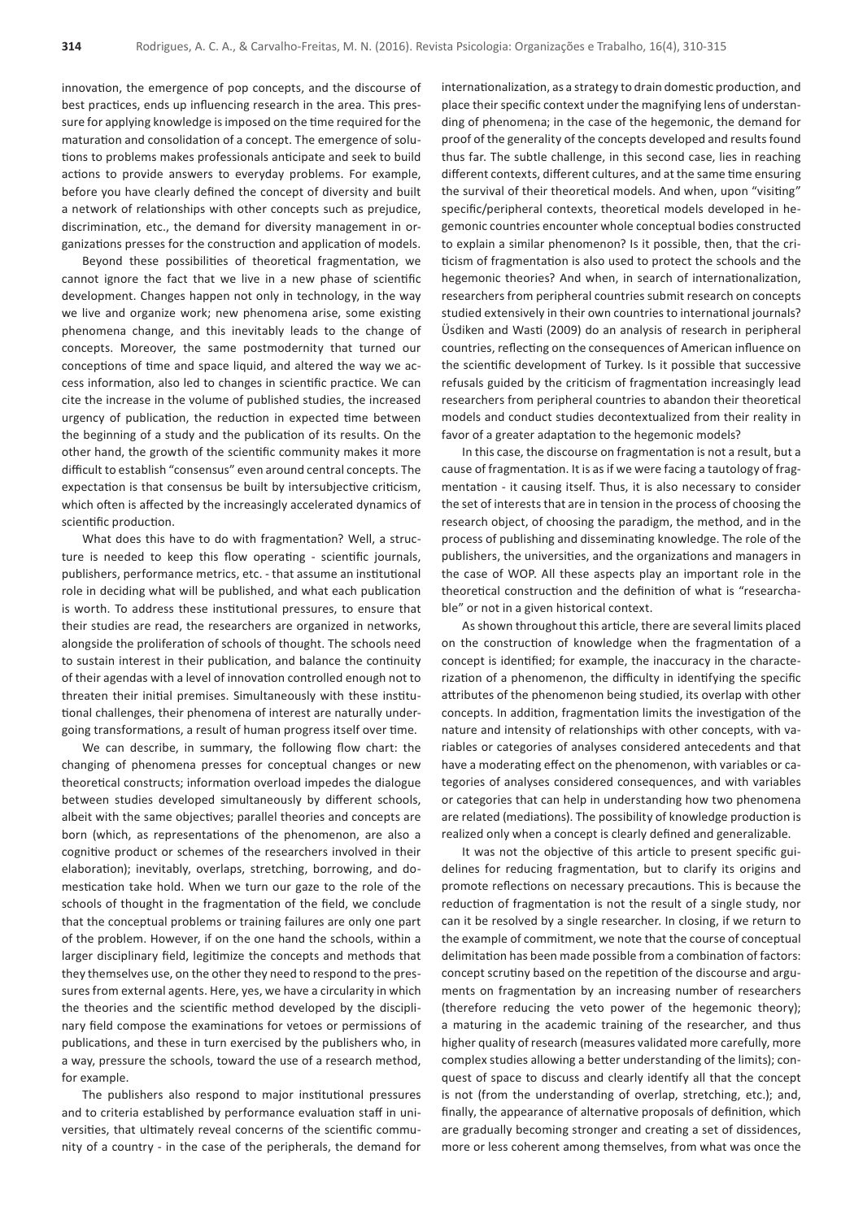innovation, the emergence of pop concepts, and the discourse of best practices, ends up influencing research in the area. This pressure for applying knowledge is imposed on the time required for the maturation and consolidation of a concept. The emergence of solutions to problems makes professionals anticipate and seek to build actions to provide answers to everyday problems. For example, before you have clearly defined the concept of diversity and built a network of relationships with other concepts such as prejudice, discrimination, etc., the demand for diversity management in organizations presses for the construction and application of models.

Beyond these possibilities of theoretical fragmentation, we cannot ignore the fact that we live in a new phase of scientific development. Changes happen not only in technology, in the way we live and organize work; new phenomena arise, some existing phenomena change, and this inevitably leads to the change of concepts. Moreover, the same postmodernity that turned our conceptions of time and space liquid, and altered the way we access information, also led to changes in scientific practice. We can cite the increase in the volume of published studies, the increased urgency of publication, the reduction in expected time between the beginning of a study and the publication of its results. On the other hand, the growth of the scientific community makes it more difficult to establish "consensus" even around central concepts. The expectation is that consensus be built by intersubjective criticism, which often is affected by the increasingly accelerated dynamics of scientific production.

What does this have to do with fragmentation? Well, a structure is needed to keep this flow operating - scientific journals, publishers, performance metrics, etc. - that assume an institutional role in deciding what will be published, and what each publication is worth. To address these institutional pressures, to ensure that their studies are read, the researchers are organized in networks, alongside the proliferation of schools of thought. The schools need to sustain interest in their publication, and balance the continuity of their agendas with a level of innovation controlled enough not to threaten their initial premises. Simultaneously with these institutional challenges, their phenomena of interest are naturally undergoing transformations, a result of human progress itself over time.

We can describe, in summary, the following flow chart: the changing of phenomena presses for conceptual changes or new theoretical constructs; information overload impedes the dialogue between studies developed simultaneously by different schools, albeit with the same objectives; parallel theories and concepts are born (which, as representations of the phenomenon, are also a cognitive product or schemes of the researchers involved in their elaboration); inevitably, overlaps, stretching, borrowing, and domestication take hold. When we turn our gaze to the role of the schools of thought in the fragmentation of the field, we conclude that the conceptual problems or training failures are only one part of the problem. However, if on the one hand the schools, within a larger disciplinary field, legitimize the concepts and methods that they themselves use, on the other they need to respond to the pressures from external agents. Here, yes, we have a circularity in which the theories and the scientific method developed by the disciplinary field compose the examinations for vetoes or permissions of publications, and these in turn exercised by the publishers who, in a way, pressure the schools, toward the use of a research method, for example.

The publishers also respond to major institutional pressures and to criteria established by performance evaluation staff in universities, that ultimately reveal concerns of the scientific community of a country - in the case of the peripherals, the demand for internationalization, as a strategy to drain domestic production, and place their specific context under the magnifying lens of understanding of phenomena; in the case of the hegemonic, the demand for proof of the generality of the concepts developed and results found thus far. The subtle challenge, in this second case, lies in reaching different contexts, different cultures, and at the same time ensuring the survival of their theoretical models. And when, upon "visiting" specific/peripheral contexts, theoretical models developed in hegemonic countries encounter whole conceptual bodies constructed to explain a similar phenomenon? Is it possible, then, that the criticism of fragmentation is also used to protect the schools and the hegemonic theories? And when, in search of internationalization, researchers from peripheral countries submit research on concepts studied extensively in their own countries to international journals? Üsdiken and Wasti (2009) do an analysis of research in peripheral countries, reflecting on the consequences of American influence on the scientific development of Turkey. Is it possible that successive refusals guided by the criticism of fragmentation increasingly lead researchers from peripheral countries to abandon their theoretical models and conduct studies decontextualized from their reality in favor of a greater adaptation to the hegemonic models?

In this case, the discourse on fragmentation is not a result, but a cause of fragmentation. It is as if we were facing a tautology of fragmentation - it causing itself. Thus, it is also necessary to consider the set of interests that are in tension in the process of choosing the research object, of choosing the paradigm, the method, and in the process of publishing and disseminating knowledge. The role of the publishers, the universities, and the organizations and managers in the case of WOP. All these aspects play an important role in the theoretical construction and the definition of what is "researchable" or not in a given historical context.

As shown throughout this article, there are several limits placed on the construction of knowledge when the fragmentation of a concept is identified; for example, the inaccuracy in the characterization of a phenomenon, the difficulty in identifying the specific attributes of the phenomenon being studied, its overlap with other concepts. In addition, fragmentation limits the investigation of the nature and intensity of relationships with other concepts, with variables or categories of analyses considered antecedents and that have a moderating effect on the phenomenon, with variables or categories of analyses considered consequences, and with variables or categories that can help in understanding how two phenomena are related (mediations). The possibility of knowledge production is realized only when a concept is clearly defined and generalizable.

It was not the objective of this article to present specific guidelines for reducing fragmentation, but to clarify its origins and promote reflections on necessary precautions. This is because the reduction of fragmentation is not the result of a single study, nor can it be resolved by a single researcher. In closing, if we return to the example of commitment, we note that the course of conceptual delimitation has been made possible from a combination of factors: concept scrutiny based on the repetition of the discourse and arguments on fragmentation by an increasing number of researchers (therefore reducing the veto power of the hegemonic theory); a maturing in the academic training of the researcher, and thus higher quality of research (measures validated more carefully, more complex studies allowing a better understanding of the limits); conquest of space to discuss and clearly identify all that the concept is not (from the understanding of overlap, stretching, etc.); and, finally, the appearance of alternative proposals of definition, which are gradually becoming stronger and creating a set of dissidences, more or less coherent among themselves, from what was once the